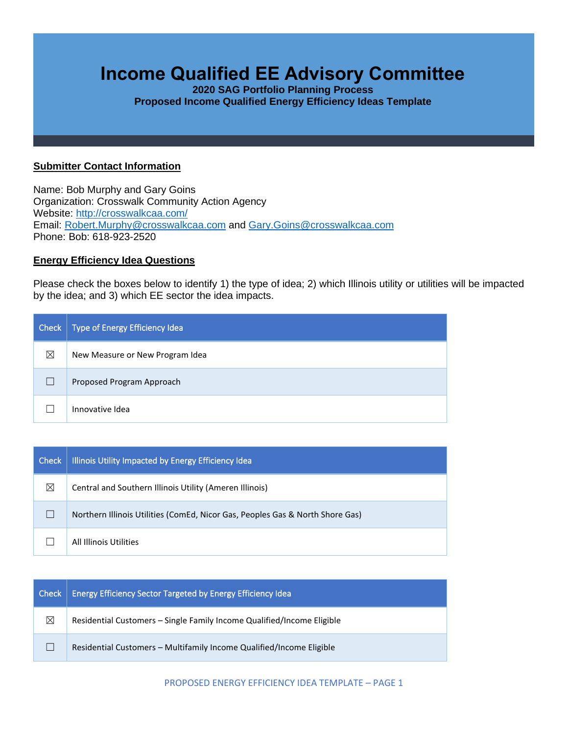# **Income Qualified EE Advisory Committee**

**2020 SAG Portfolio Planning Process Proposed Income Qualified Energy Efficiency Ideas Template**

#### **Submitter Contact Information**

Name: Bob Murphy and Gary Goins Organization: Crosswalk Community Action Agency Website: <http://crosswalkcaa.com/> Email: [Robert.Murphy@crosswalkcaa.com](mailto:Robert.Murphy@crosswalkcaa.com) and [Gary.Goins@crosswalkcaa.com](mailto:Gary.Goins@crosswalkcaa.com) Phone: Bob: 618-923-2520

### **Energy Efficiency Idea Questions**

Please check the boxes below to identify 1) the type of idea; 2) which Illinois utility or utilities will be impacted by the idea; and 3) which EE sector the idea impacts.

| Check | Type of Energy Efficiency Idea  |
|-------|---------------------------------|
| ⊠     | New Measure or New Program Idea |
|       | Proposed Program Approach       |
|       | Innovative Idea                 |

| <b>Check</b> | Illinois Utility Impacted by Energy Efficiency Idea                           |
|--------------|-------------------------------------------------------------------------------|
| ⊠            | Central and Southern Illinois Utility (Ameren Illinois)                       |
|              | Northern Illinois Utilities (ComEd, Nicor Gas, Peoples Gas & North Shore Gas) |
|              | All Illinois Utilities                                                        |

| l Check l   | Energy Efficiency Sector Targeted by Energy Efficiency Idea            |
|-------------|------------------------------------------------------------------------|
| $\boxtimes$ | Residential Customers - Single Family Income Qualified/Income Eligible |
|             | Residential Customers – Multifamily Income Qualified/Income Eligible   |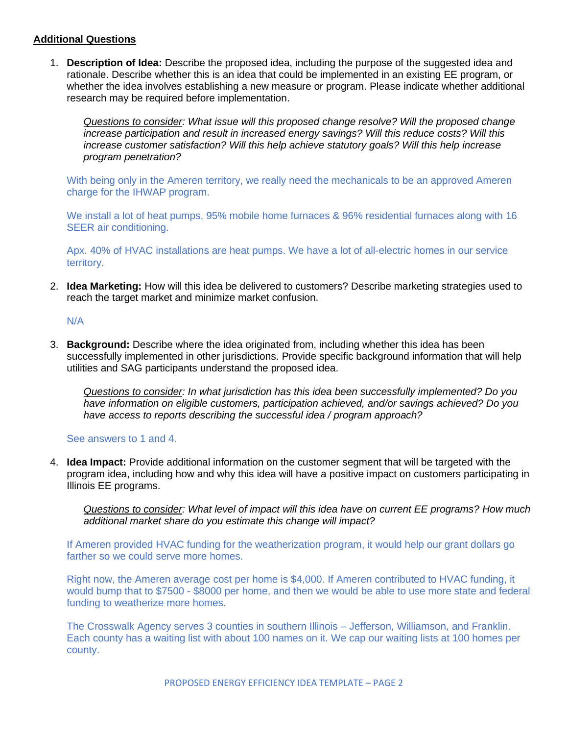### **Additional Questions**

1. **Description of Idea:** Describe the proposed idea, including the purpose of the suggested idea and rationale. Describe whether this is an idea that could be implemented in an existing EE program, or whether the idea involves establishing a new measure or program. Please indicate whether additional research may be required before implementation.

*Questions to consider: What issue will this proposed change resolve? Will the proposed change increase participation and result in increased energy savings? Will this reduce costs? Will this increase customer satisfaction? Will this help achieve statutory goals? Will this help increase program penetration?* 

With being only in the Ameren territory, we really need the mechanicals to be an approved Ameren charge for the IHWAP program.

We install a lot of heat pumps, 95% mobile home furnaces & 96% residential furnaces along with 16 SEER air conditioning.

Apx. 40% of HVAC installations are heat pumps. We have a lot of all-electric homes in our service territory.

2. **Idea Marketing:** How will this idea be delivered to customers? Describe marketing strategies used to reach the target market and minimize market confusion.

## N/A

3. **Background:** Describe where the idea originated from, including whether this idea has been successfully implemented in other jurisdictions. Provide specific background information that will help utilities and SAG participants understand the proposed idea.

*Questions to consider: In what jurisdiction has this idea been successfully implemented? Do you have information on eligible customers, participation achieved, and/or savings achieved? Do you have access to reports describing the successful idea / program approach?* 

#### See answers to 1 and 4.

4. **Idea Impact:** Provide additional information on the customer segment that will be targeted with the program idea, including how and why this idea will have a positive impact on customers participating in Illinois EE programs.

*Questions to consider: What level of impact will this idea have on current EE programs? How much additional market share do you estimate this change will impact?*

If Ameren provided HVAC funding for the weatherization program, it would help our grant dollars go farther so we could serve more homes.

Right now, the Ameren average cost per home is \$4,000. If Ameren contributed to HVAC funding, it would bump that to \$7500 - \$8000 per home, and then we would be able to use more state and federal funding to weatherize more homes.

The Crosswalk Agency serves 3 counties in southern Illinois – Jefferson, Williamson, and Franklin. Each county has a waiting list with about 100 names on it. We cap our waiting lists at 100 homes per county.